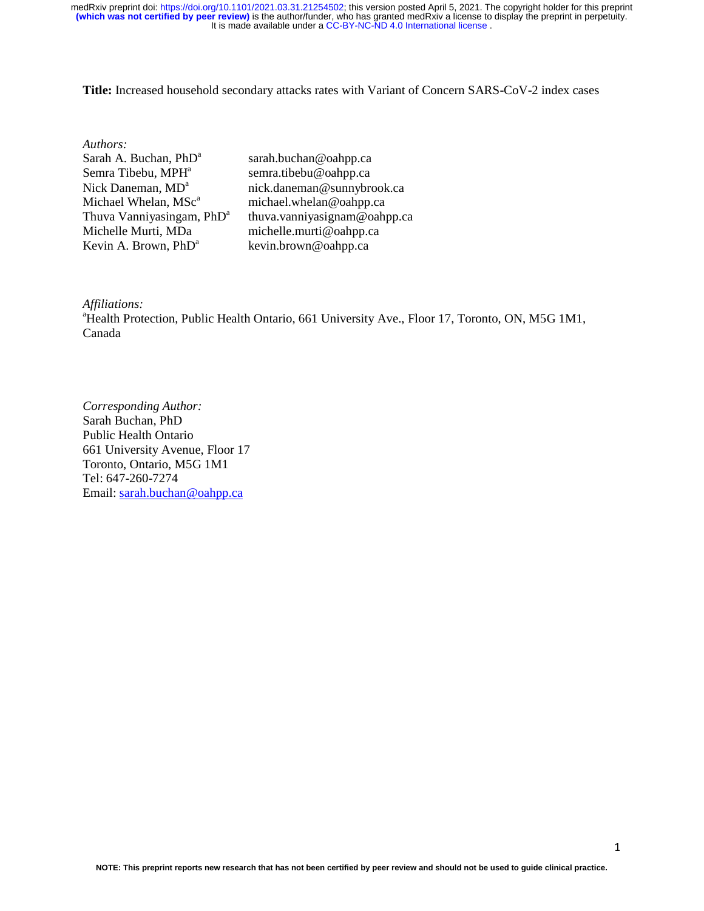**Title:** Increased household secondary attacks rates with Variant of Concern SARS-CoV-2 index cases

| Authors:                              |                              |
|---------------------------------------|------------------------------|
| Sarah A. Buchan, PhD <sup>a</sup>     | sarah.buchan@oahpp.ca        |
| Semra Tibebu, MPH <sup>a</sup>        | semra.tibebu@oahpp.ca        |
| Nick Daneman, MD <sup>a</sup>         | nick.daneman@sunnybrook.ca   |
| Michael Whelan, MSc <sup>a</sup>      | michael.whelan@oahpp.ca      |
| Thuva Vanniyasingam, PhD <sup>a</sup> | thuva.vanniyasignam@oahpp.ca |
| Michelle Murti, MDa                   | michelle.murti@oahpp.ca      |
| Kevin A. Brown, PhD <sup>a</sup>      | kevin.brown@oahpp.ca         |
|                                       |                              |

*Affiliations:* 

<sup>a</sup>Health Protection, Public Health Ontario, 661 University Ave., Floor 17, Toronto, ON, M5G 1M1, Canada

*Corresponding Author:*  Sarah Buchan, PhD Public Health Ontario 661 University Avenue, Floor 17 Toronto, Ontario, M5G 1M1 Tel: 647-260-7274 Email: sarah.buchan@oahpp.ca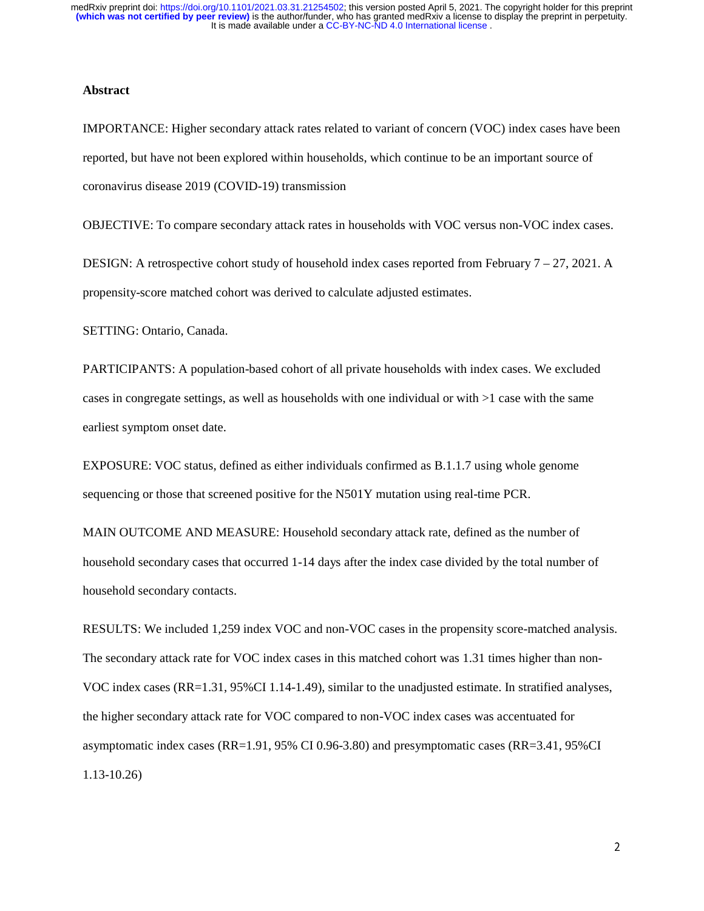#### **Abstract**

IMPORTANCE: Higher secondary attack rates related to variant of concern (VOC) index cases have been reported, but have not been explored within households, which continue to be an important source of coronavirus disease 2019 (COVID-19) transmission

OBJECTIVE: To compare secondary attack rates in households with VOC versus non-VOC index cases.

DESIGN: A retrospective cohort study of household index cases reported from February 7 – 27, 2021. A propensity-score matched cohort was derived to calculate adjusted estimates.

SETTING: Ontario, Canada.

PARTICIPANTS: A population-based cohort of all private households with index cases. We excluded cases in congregate settings, as well as households with one individual or with >1 case with the same earliest symptom onset date.

EXPOSURE: VOC status, defined as either individuals confirmed as B.1.1.7 using whole genome sequencing or those that screened positive for the N501Y mutation using real-time PCR.

MAIN OUTCOME AND MEASURE: Household secondary attack rate, defined as the number of household secondary cases that occurred 1-14 days after the index case divided by the total number of household secondary contacts.

RESULTS: We included 1,259 index VOC and non-VOC cases in the propensity score-matched analysis. The secondary attack rate for VOC index cases in this matched cohort was 1.31 times higher than non-VOC index cases (RR=1.31, 95%CI 1.14-1.49), similar to the unadjusted estimate. In stratified analyses, the higher secondary attack rate for VOC compared to non-VOC index cases was accentuated for asymptomatic index cases (RR=1.91, 95% CI 0.96-3.80) and presymptomatic cases (RR=3.41, 95%CI 1.13-10.26)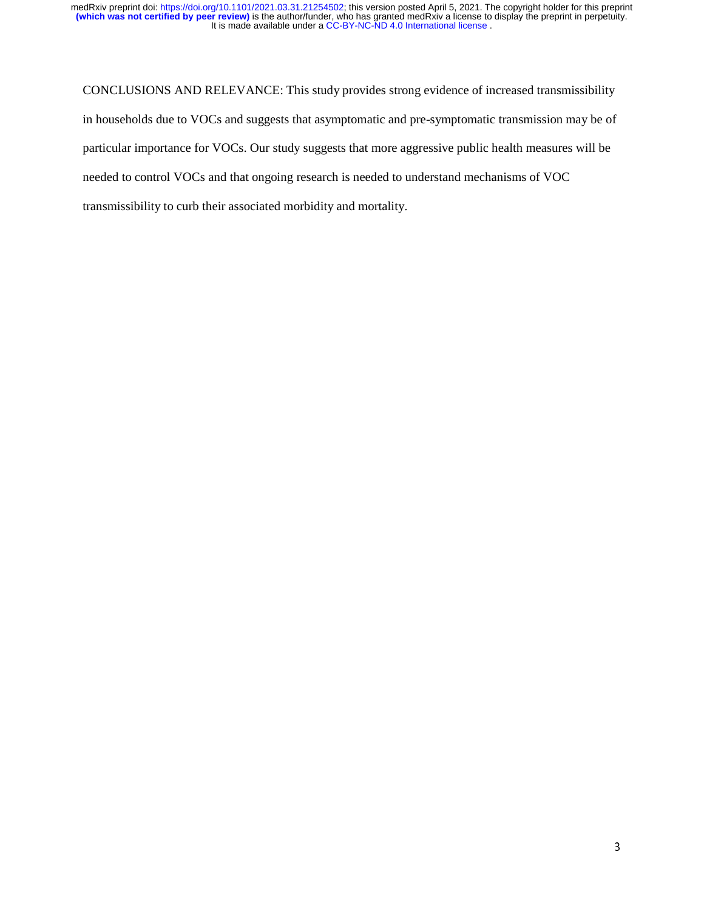CONCLUSIONS AND RELEVANCE: This study provides strong evidence of increased transmissibility in households due to VOCs and suggests that asymptomatic and pre-symptomatic transmission may be of particular importance for VOCs. Our study suggests that more aggressive public health measures will be needed to control VOCs and that ongoing research is needed to understand mechanisms of VOC transmissibility to curb their associated morbidity and mortality.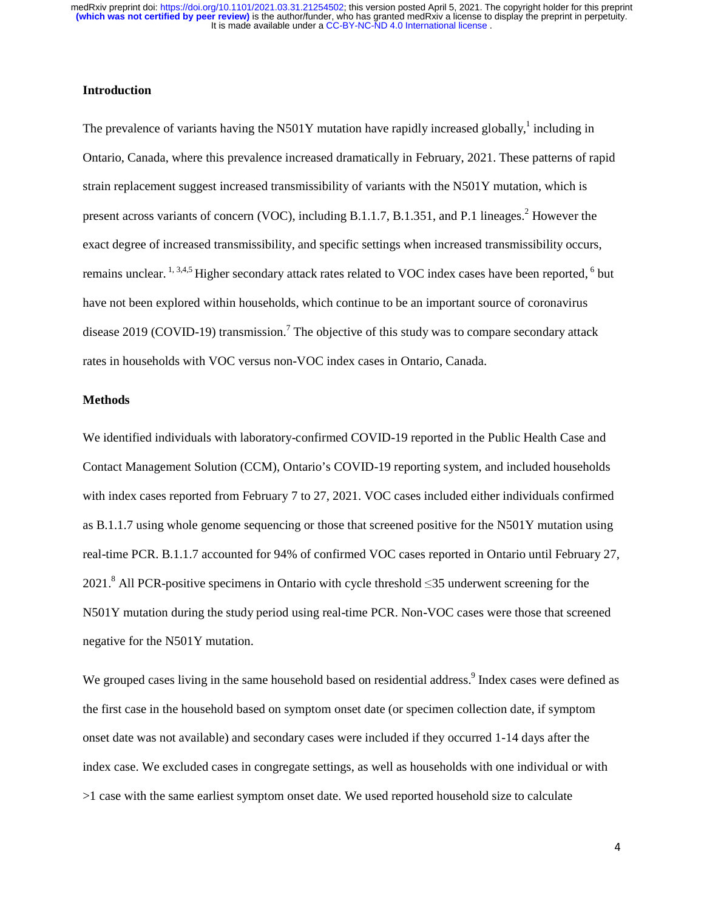### **Introduction**

The prevalence of variants having the N501Y mutation have rapidly increased globally,<sup>1</sup> including in Ontario, Canada, where this prevalence increased dramatically in February, 2021. These patterns of rapid strain replacement suggest increased transmissibility of variants with the N501Y mutation, which is present across variants of concern (VOC), including B.1.1.7, B.1.351, and P.1 lineages. $<sup>2</sup>$  However the</sup> exact degree of increased transmissibility, and specific settings when increased transmissibility occurs, remains unclear.  $^{1, 3, 4, 5}$  Higher secondary attack rates related to VOC index cases have been reported,  $^{6}$  but have not been explored within households, which continue to be an important source of coronavirus disease 2019 (COVID-19) transmission.<sup>7</sup> The objective of this study was to compare secondary attack rates in households with VOC versus non-VOC index cases in Ontario, Canada.

## **Methods**

We identified individuals with laboratory-confirmed COVID-19 reported in the Public Health Case and Contact Management Solution (CCM), Ontario's COVID-19 reporting system, and included households with index cases reported from February 7 to 27, 2021. VOC cases included either individuals confirmed as B.1.1.7 using whole genome sequencing or those that screened positive for the N501Y mutation using real-time PCR. B.1.1.7 accounted for 94% of confirmed VOC cases reported in Ontario until February 27, 2021.<sup>8</sup> All PCR-positive specimens in Ontario with cycle threshold  $\leq$ 35 underwent screening for the N501Y mutation during the study period using real-time PCR. Non-VOC cases were those that screened negative for the N501Y mutation.

We grouped cases living in the same household based on residential address.<sup>9</sup> Index cases were defined as the first case in the household based on symptom onset date (or specimen collection date, if symptom onset date was not available) and secondary cases were included if they occurred 1-14 days after the index case. We excluded cases in congregate settings, as well as households with one individual or with >1 case with the same earliest symptom onset date. We used reported household size to calculate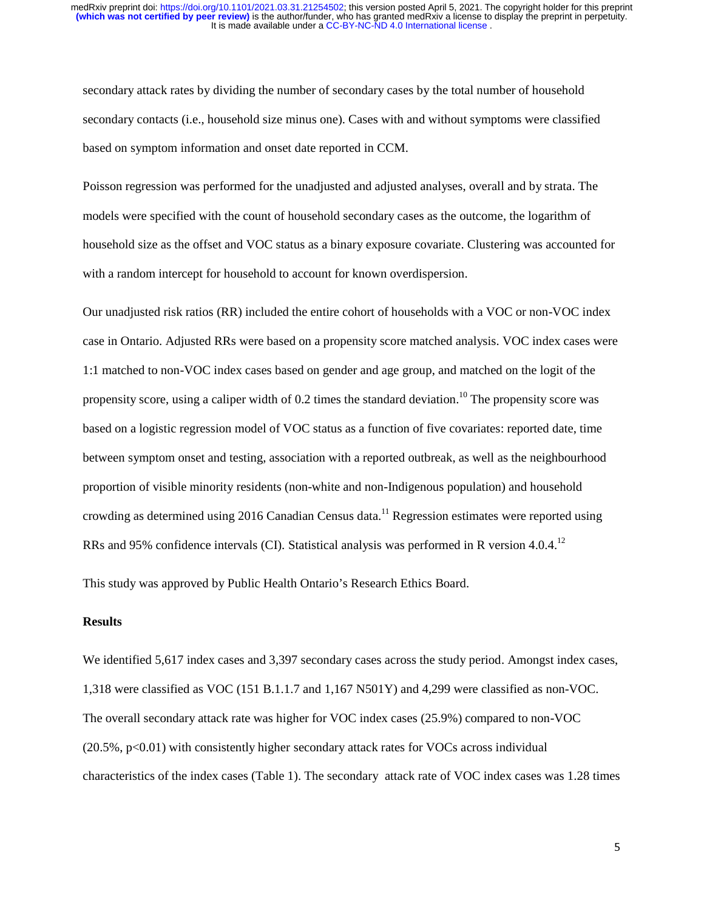secondary attack rates by dividing the number of secondary cases by the total number of household secondary contacts (i.e., household size minus one). Cases with and without symptoms were classified based on symptom information and onset date reported in CCM.

Poisson regression was performed for the unadjusted and adjusted analyses, overall and by strata. The models were specified with the count of household secondary cases as the outcome, the logarithm of household size as the offset and VOC status as a binary exposure covariate. Clustering was accounted for with a random intercept for household to account for known overdispersion.

Our unadjusted risk ratios (RR) included the entire cohort of households with a VOC or non-VOC index case in Ontario. Adjusted RRs were based on a propensity score matched analysis. VOC index cases were 1:1 matched to non-VOC index cases based on gender and age group, and matched on the logit of the propensity score, using a caliper width of 0.2 times the standard deviation.<sup>10</sup> The propensity score was based on a logistic regression model of VOC status as a function of five covariates: reported date, time between symptom onset and testing, association with a reported outbreak, as well as the neighbourhood proportion of visible minority residents (non-white and non-Indigenous population) and household crowding as determined using 2016 Canadian Census data.<sup>11</sup> Regression estimates were reported using RRs and 95% confidence intervals (CI). Statistical analysis was performed in R version 4.0.4.<sup>12</sup>

This study was approved by Public Health Ontario's Research Ethics Board.

### **Results**

We identified 5,617 index cases and 3,397 secondary cases across the study period. Amongst index cases, 1,318 were classified as VOC (151 B.1.1.7 and 1,167 N501Y) and 4,299 were classified as non-VOC. The overall secondary attack rate was higher for VOC index cases (25.9%) compared to non-VOC (20.5%, p<0.01) with consistently higher secondary attack rates for VOCs across individual characteristics of the index cases (Table 1). The secondary attack rate of VOC index cases was 1.28 times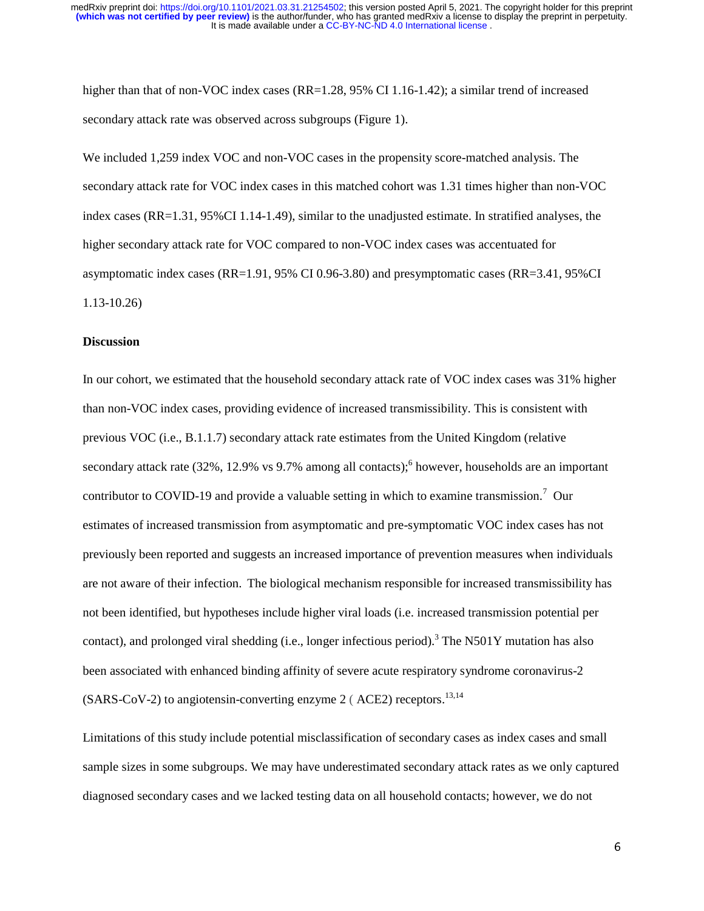higher than that of non-VOC index cases (RR=1.28, 95% CI 1.16-1.42); a similar trend of increased secondary attack rate was observed across subgroups (Figure 1).

We included 1,259 index VOC and non-VOC cases in the propensity score-matched analysis. The secondary attack rate for VOC index cases in this matched cohort was 1.31 times higher than non-VOC index cases (RR=1.31, 95%CI 1.14-1.49), similar to the unadjusted estimate. In stratified analyses, the higher secondary attack rate for VOC compared to non-VOC index cases was accentuated for asymptomatic index cases (RR=1.91, 95% CI 0.96-3.80) and presymptomatic cases (RR=3.41, 95%CI 1.13-10.26)

## **Discussion**

In our cohort, we estimated that the household secondary attack rate of VOC index cases was 31% higher than non-VOC index cases, providing evidence of increased transmissibility. This is consistent with previous VOC (i.e., B.1.1.7) secondary attack rate estimates from the United Kingdom (relative secondary attack rate (32%, 12.9% vs 9.7% among all contacts);<sup>6</sup> however, households are an important contributor to COVID-19 and provide a valuable setting in which to examine transmission.<sup>7</sup> Our estimates of increased transmission from asymptomatic and pre-symptomatic VOC index cases has not previously been reported and suggests an increased importance of prevention measures when individuals are not aware of their infection. The biological mechanism responsible for increased transmissibility has not been identified, but hypotheses include higher viral loads (i.e. increased transmission potential per contact), and prolonged viral shedding (i.e., longer infectious period).<sup>3</sup> The N501Y mutation has also been associated with enhanced binding affinity of severe acute respiratory syndrome coronavirus-2 (SARS-CoV-2) to angiotensin-converting enzyme 2 (ACE2) receptors.<sup>13,14</sup>

Limitations of this study include potential misclassification of secondary cases as index cases and small sample sizes in some subgroups. We may have underestimated secondary attack rates as we only captured diagnosed secondary cases and we lacked testing data on all household contacts; however, we do not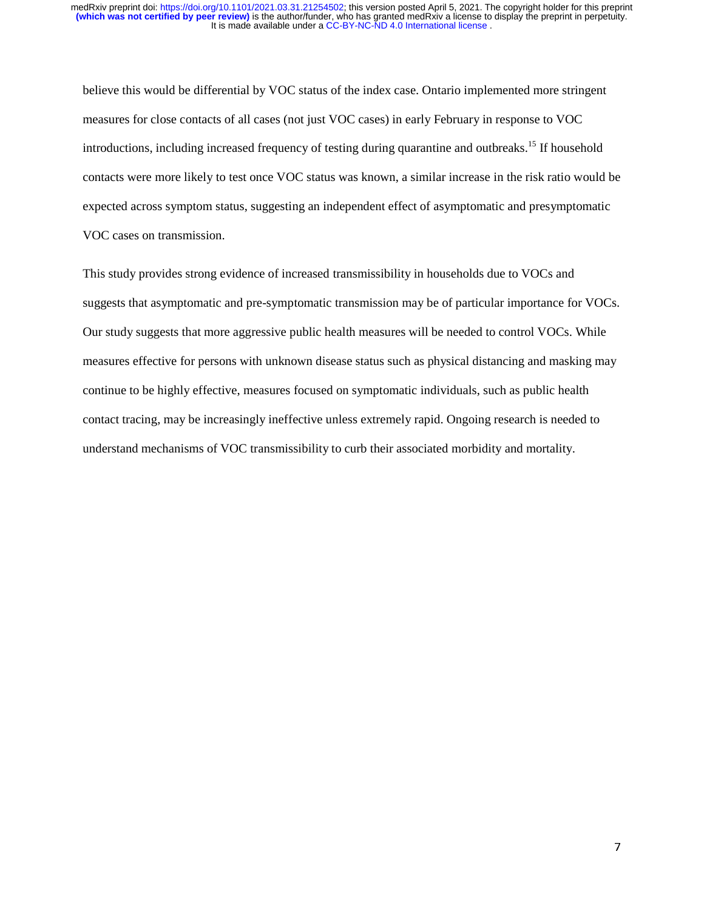believe this would be differential by VOC status of the index case. Ontario implemented more stringent measures for close contacts of all cases (not just VOC cases) in early February in response to VOC introductions, including increased frequency of testing during quarantine and outbreaks.<sup>15</sup> If household contacts were more likely to test once VOC status was known, a similar increase in the risk ratio would be expected across symptom status, suggesting an independent effect of asymptomatic and presymptomatic VOC cases on transmission.

This study provides strong evidence of increased transmissibility in households due to VOCs and suggests that asymptomatic and pre-symptomatic transmission may be of particular importance for VOCs. Our study suggests that more aggressive public health measures will be needed to control VOCs. While measures effective for persons with unknown disease status such as physical distancing and masking may continue to be highly effective, measures focused on symptomatic individuals, such as public health contact tracing, may be increasingly ineffective unless extremely rapid. Ongoing research is needed to understand mechanisms of VOC transmissibility to curb their associated morbidity and mortality.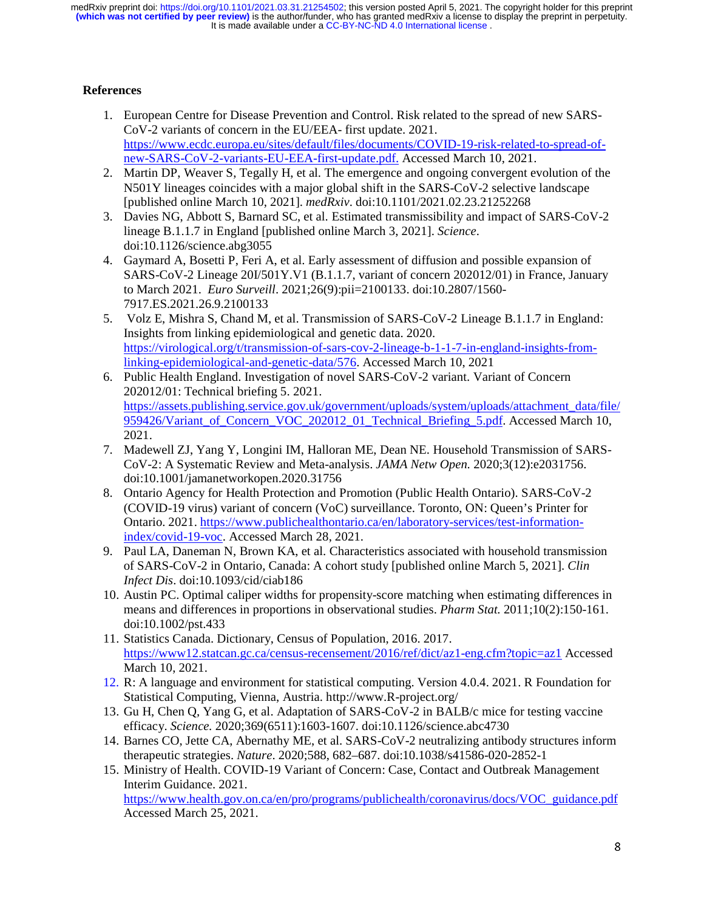# **References**

- 1. European Centre for Disease Prevention and Control. Risk related to the spread of new SARS-CoV-2 variants of concern in the EU/EEA- first update. 2021. https://www.ecdc.europa.eu/sites/default/files/documents/COVID-19-risk-related-to-spread-ofnew-SARS-CoV-2-variants-EU-EEA-first-update.pdf. Accessed March 10, 2021.
- 2. Martin DP, Weaver S, Tegally H, et al. The emergence and ongoing convergent evolution of the N501Y lineages coincides with a major global shift in the SARS-CoV-2 selective landscape [published online March 10, 2021]. *medRxiv*. doi:10.1101/2021.02.23.21252268
- 3. Davies NG, Abbott S, Barnard SC, et al. Estimated transmissibility and impact of SARS-CoV-2 lineage B.1.1.7 in England [published online March 3, 2021]. *Science*. doi:10.1126/science.abg3055
- 4. Gaymard A, Bosetti P, Feri A, et al. Early assessment of diffusion and possible expansion of SARS-CoV-2 Lineage 20I/501Y.V1 (B.1.1.7, variant of concern 202012/01) in France, January to March 2021. *Euro Surveill*. 2021;26(9):pii=2100133. doi:10.2807/1560- 7917.ES.2021.26.9.2100133
- 5. Volz E, Mishra S, Chand M, et al. Transmission of SARS-CoV-2 Lineage B.1.1.7 in England: Insights from linking epidemiological and genetic data. 2020. https://virological.org/t/transmission-of-sars-cov-2-lineage-b-1-1-7-in-england-insights-fromlinking-epidemiological-and-genetic-data/576. Accessed March 10, 2021
- 6. Public Health England. Investigation of novel SARS-CoV-2 variant. Variant of Concern 202012/01: Technical briefing 5. 2021. https://assets.publishing.service.gov.uk/government/uploads/system/uploads/attachment\_data/file/ 959426/Variant of Concern VOC 202012 01 Technical Briefing 5.pdf. Accessed March 10, 2021.
- 7. Madewell ZJ, Yang Y, Longini IM, Halloran ME, Dean NE. Household Transmission of SARS-CoV-2: A Systematic Review and Meta-analysis. *JAMA Netw Open.* 2020;3(12):e2031756. doi:10.1001/jamanetworkopen.2020.31756
- 8. Ontario Agency for Health Protection and Promotion (Public Health Ontario). SARS-CoV-2 (COVID-19 virus) variant of concern (VoC) surveillance. Toronto, ON: Queen's Printer for Ontario. 2021. https://www.publichealthontario.ca/en/laboratory-services/test-informationindex/covid-19-voc. Accessed March 28, 2021.
- 9. Paul LA, Daneman N, Brown KA, et al. Characteristics associated with household transmission of SARS-CoV-2 in Ontario, Canada: A cohort study [published online March 5, 2021]. *Clin Infect Dis*. doi:10.1093/cid/ciab186
- 10. Austin PC. Optimal caliper widths for propensity-score matching when estimating differences in means and differences in proportions in observational studies. *Pharm Stat.* 2011;10(2):150-161. doi:10.1002/pst.433
- 11. Statistics Canada. Dictionary, Census of Population, 2016. 2017. https://www12.statcan.gc.ca/census-recensement/2016/ref/dict/az1-eng.cfm?topic=az1 Accessed March 10, 2021.
- 12. R: A language and environment for statistical computing. Version 4.0.4. 2021. R Foundation for Statistical Computing, Vienna, Austria. http://www.R-project.org/
- 13. Gu H, Chen Q, Yang G, et al. Adaptation of SARS-CoV-2 in BALB/c mice for testing vaccine efficacy. *Science.* 2020;369(6511):1603-1607. doi:10.1126/science.abc4730
- 14. Barnes CO, Jette CA, Abernathy ME, et al. SARS-CoV-2 neutralizing antibody structures inform therapeutic strategies. *Nature*. 2020;588, 682–687. doi:10.1038/s41586-020-2852-1
- 15. Ministry of Health. COVID-19 Variant of Concern: Case, Contact and Outbreak Management Interim Guidance. 2021. https://www.health.gov.on.ca/en/pro/programs/publichealth/coronavirus/docs/VOC\_guidance.pdf Accessed March 25, 2021.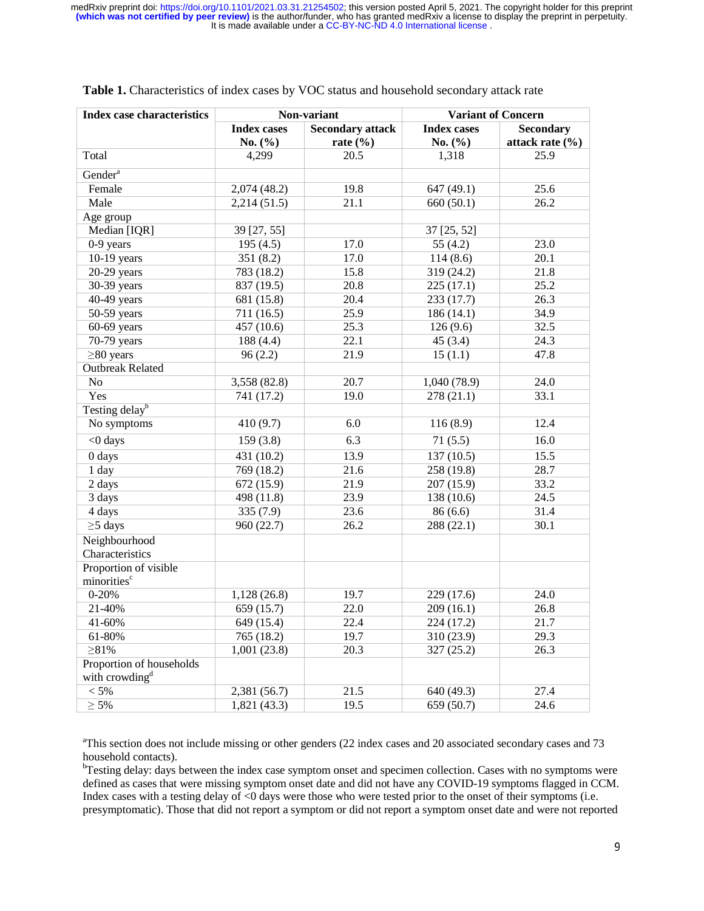| <b>Index case characteristics</b>                      | Non-variant        |                         | <b>Variant of Concern</b> |                     |
|--------------------------------------------------------|--------------------|-------------------------|---------------------------|---------------------|
|                                                        | <b>Index cases</b> | <b>Secondary attack</b> | <b>Index cases</b>        | <b>Secondary</b>    |
|                                                        | No. $(\% )$        | rate $(\% )$            | No. $(\% )$               | attack rate $(\% )$ |
| Total                                                  | 4,299              | 20.5                    | 1,318                     | 25.9                |
| Gender <sup>a</sup>                                    |                    |                         |                           |                     |
| Female                                                 | 2,074(48.2)        | 19.8                    | 647 (49.1)                | 25.6                |
| Male                                                   | 2,214(51.5)        | 21.1                    | 660(50.1)                 | 26.2                |
| Age group                                              |                    |                         |                           |                     |
| Median [IQR]                                           | 39 [27, 55]        |                         | 37 [25, 52]               |                     |
| 0-9 years                                              | 195(4.5)           | 17.0                    | 55 $(4.2)$                | 23.0                |
| $10-19$ years                                          | 351 (8.2)          | 17.0                    | 114(8.6)                  | 20.1                |
| $20-29$ years                                          | 783 (18.2)         | 15.8                    | 319 (24.2)                | 21.8                |
| 30-39 years                                            | 837 (19.5)         | 20.8                    | 225(17.1)                 | 25.2                |
| 40-49 years                                            | 681 (15.8)         | 20.4                    | 233 (17.7)                | 26.3                |
| 50-59 years                                            | 711 (16.5)         | 25.9                    | 186 (14.1)                | 34.9                |
| $60-69$ years                                          | 457 (10.6)         | 25.3                    | 126(9.6)                  | 32.5                |
| 70-79 years                                            | 188 (4.4)          | 22.1                    | 45(3.4)                   | 24.3                |
| $\geq$ 80 years                                        | 96(2.2)            | 21.9                    | 15(1.1)                   | 47.8                |
| <b>Outbreak Related</b>                                |                    |                         |                           |                     |
| No                                                     | 3,558 (82.8)       | 20.7                    | 1,040 (78.9)              | 24.0                |
| Yes                                                    | 741 (17.2)         | 19.0                    | 278 (21.1)                | 33.1                |
| Testing delay <sup>b</sup>                             |                    |                         |                           |                     |
| No symptoms                                            | 410 (9.7)          | 6.0                     | 116(8.9)                  | 12.4                |
| <0 days                                                | 159(3.8)           | 6.3                     | 71(5.5)                   | 16.0                |
| 0 days                                                 | 431 (10.2)         | 13.9                    | 137 (10.5)                | 15.5                |
| 1 day                                                  | 769 (18.2)         | 21.6                    | 258 (19.8)                | 28.7                |
| 2 days                                                 | 672 (15.9)         | 21.9                    | 207 (15.9)                | 33.2                |
| 3 days                                                 | 498 (11.8)         | 23.9                    | 138 (10.6)                | 24.5                |
| 4 days                                                 | 335(7.9)           | 23.6                    | 86 (6.6)                  | 31.4                |
| $\geq$ 5 days                                          | 960 (22.7)         | 26.2                    | 288 (22.1)                | 30.1                |
| Neighbourhood<br>Characteristics                       |                    |                         |                           |                     |
| Proportion of visible<br>minorities <sup>c</sup>       |                    |                         |                           |                     |
| $0 - 20%$                                              | 1,128(26.8)        | 19.7                    | 229 (17.6)                | 24.0                |
| 21-40%                                                 | 659 (15.7)         | 22.0                    | 209 (16.1)                | 26.8                |
| 41-60%                                                 | 649 (15.4)         | 22.4                    | 224 (17.2)                | 21.7                |
| 61-80%                                                 | 765 (18.2)         | 19.7                    | 310 (23.9)                | 29.3                |
| $\geq 81\%$                                            | 1,001(23.8)        | 20.3                    | 327 (25.2)                | 26.3                |
| Proportion of households<br>with crowding <sup>d</sup> |                    |                         |                           |                     |
| $< 5\%$                                                | 2,381 (56.7)       | 21.5                    | 640 (49.3)                | 27.4                |
| $\geq 5\%$                                             | 1,821(43.3)        | 19.5                    | 659 (50.7)                | 24.6                |

## **Table 1.** Characteristics of index cases by VOC status and household secondary attack rate

<sup>a</sup>This section does not include missing or other genders (22 index cases and 20 associated secondary cases and 73 household contacts).

<sup>b</sup>Testing delay: days between the index case symptom onset and specimen collection. Cases with no symptoms were defined as cases that were missing symptom onset date and did not have any COVID-19 symptoms flagged in CCM. Index cases with a testing delay of <0 days were those who were tested prior to the onset of their symptoms (i.e. presymptomatic). Those that did not report a symptom or did not report a symptom onset date and were not reported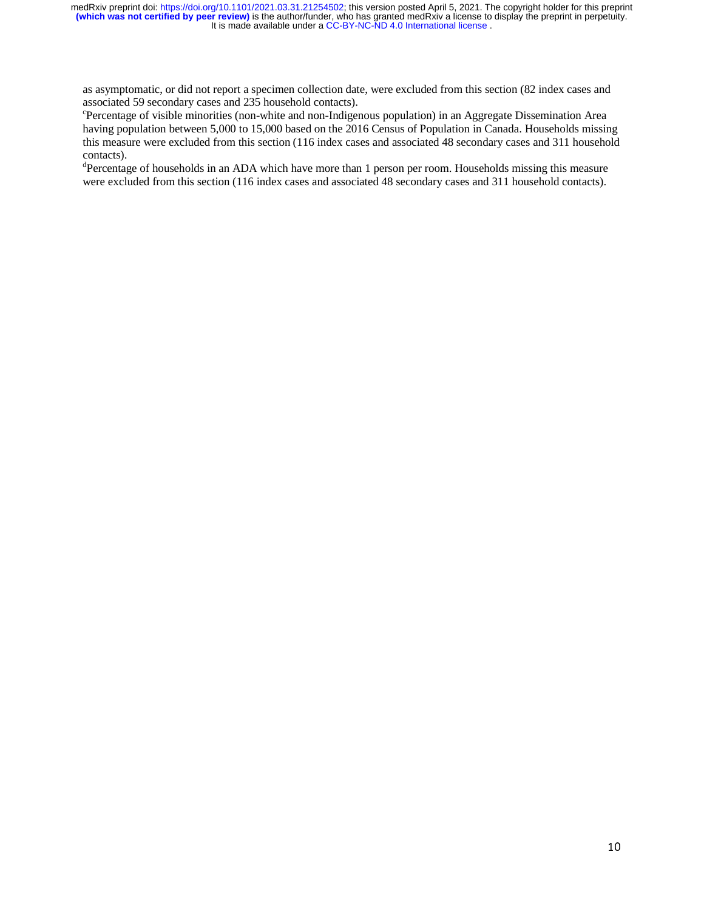as asymptomatic, or did not report a specimen collection date, were excluded from this section (82 index cases and associated 59 secondary cases and 235 household contacts).

c Percentage of visible minorities (non-white and non-Indigenous population) in an Aggregate Dissemination Area having population between 5,000 to 15,000 based on the 2016 Census of Population in Canada. Households missing this measure were excluded from this section (116 index cases and associated 48 secondary cases and 311 household contacts).

<sup>d</sup>Percentage of households in an ADA which have more than 1 person per room. Households missing this measure were excluded from this section (116 index cases and associated 48 secondary cases and 311 household contacts).